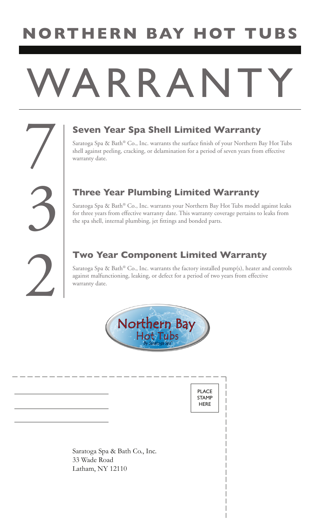## **NORTHERN BAY HOT TUBS**

# ARRANT

### 7 **Seven Year Spa Shell Limited Warranty**

Saratoga Spa & Bath® Co., Inc. warrants the surface finish of your Northern Bay Hot Tubs shell against peeling, cracking, or delamination for a period of seven years from effective warranty date.

#### **Three Year Plumbing Limited Warranty**

Saratoga Spa & Bath® Co., Inc. warrants your Northern Bay Hot Tubs model against leaks for three years from effective warranty date. This warranty coverage pertains to leaks from the spa shell, internal plumbing, jet fittings and bonded parts.

#### **Two Year Component Limited Warranty**

Saratoga Spa & Bath® Co., Inc. warrants the factory installed  $\text{pump}(s)$ , heater and controls against malfunctioning, leaking, or defect for a period of two years from effective warranty date.



PLACE STAMP **HERE** 

Saratoga Spa & Bath Co., Inc. 33 Wade Road Latham, NY 12110